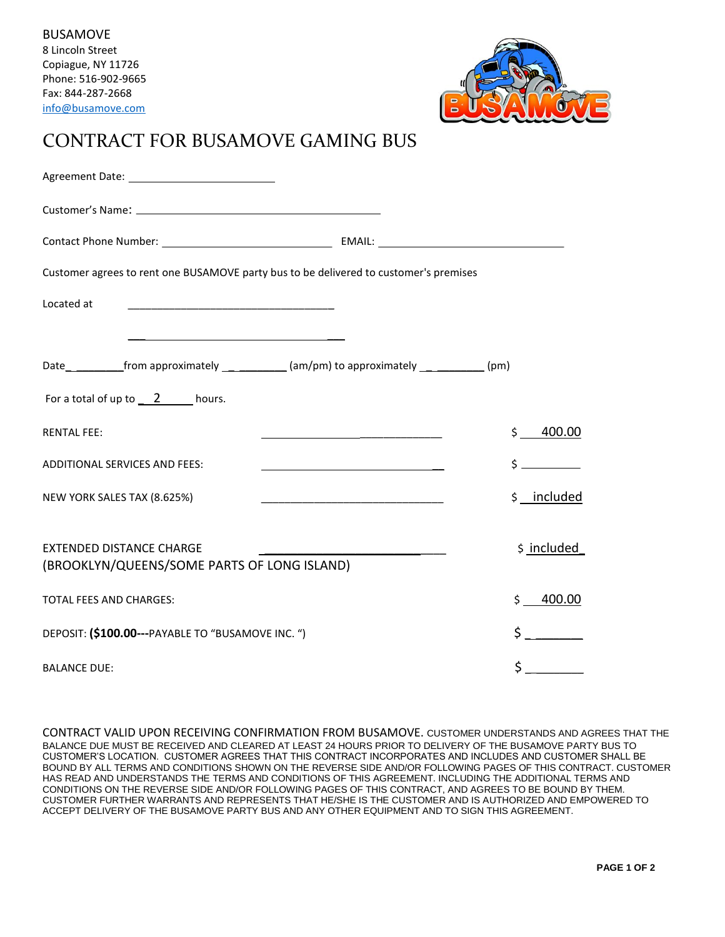

## CONTRACT FOR BUSAMOVE GAMING BUS

| Customer agrees to rent one BUSAMOVE party bus to be delivered to customer's premises |                                                                 |             |
|---------------------------------------------------------------------------------------|-----------------------------------------------------------------|-------------|
| Located at<br><u> 1989 - Johann John Stone, mars eta biztanleria (h. 1989).</u>       |                                                                 |             |
|                                                                                       |                                                                 |             |
|                                                                                       |                                                                 |             |
| For a total of up to $2$ hours.                                                       |                                                                 |             |
| <b>RENTAL FEE:</b>                                                                    | <u> 1989 - Johann Barn, mars an t-Amerikaansk kommunister (</u> | \$400.00    |
| <b>ADDITIONAL SERVICES AND FEES:</b>                                                  | <u> 1989 - Johann Barbara, martxa alemaniar amerikan a</u>      |             |
| NEW YORK SALES TAX (8.625%)                                                           |                                                                 | \$ included |
|                                                                                       |                                                                 |             |
| <b>EXTENDED DISTANCE CHARGE</b><br>(BROOKLYN/QUEENS/SOME PARTS OF LONG ISLAND)        |                                                                 | \$ included |
| <b>TOTAL FEES AND CHARGES:</b>                                                        |                                                                 | \$400.00    |
| DEPOSIT: (\$100.00---PAYABLE TO "BUSAMOVE INC. ")                                     |                                                                 | $\zeta$     |
| <b>BALANCE DUE:</b>                                                                   | \$                                                              |             |

CONTRACT VALID UPON RECEIVING CONFIRMATION FROM BUSAMOVE. CUSTOMER UNDERSTANDS AND AGREES THAT THE BALANCE DUE MUST BE RECEIVED AND CLEARED AT LEAST 24 HOURS PRIOR TO DELIVERY OF THE BUSAMOVE PARTY BUS TO CUSTOMER'S LOCATION. CUSTOMER AGREES THAT THIS CONTRACT INCORPORATES AND INCLUDES AND CUSTOMER SHALL BE BOUND BY ALL TERMS AND CONDITIONS SHOWN ON THE REVERSE SIDE AND/OR FOLLOWING PAGES OF THIS CONTRACT. CUSTOMER HAS READ AND UNDERSTANDS THE TERMS AND CONDITIONS OF THIS AGREEMENT. INCLUDING THE ADDITIONAL TERMS AND CONDITIONS ON THE REVERSE SIDE AND/OR FOLLOWING PAGES OF THIS CONTRACT, AND AGREES TO BE BOUND BY THEM. CUSTOMER FURTHER WARRANTS AND REPRESENTS THAT HE/SHE IS THE CUSTOMER AND IS AUTHORIZED AND EMPOWERED TO ACCEPT DELIVERY OF THE BUSAMOVE PARTY BUS AND ANY OTHER EQUIPMENT AND TO SIGN THIS AGREEMENT.